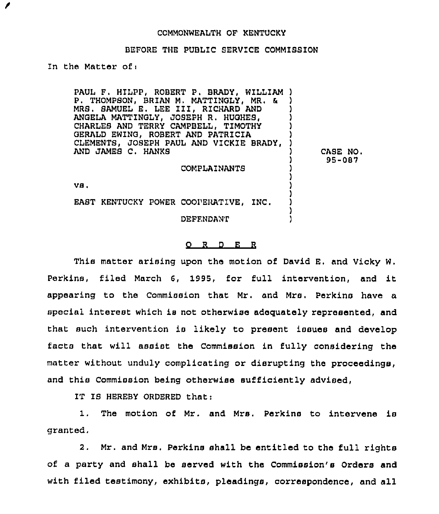## COMMONWEALTH OF KENTUCKY

## BEFORE THE PUBLIC SERVICE COMMISSION

In the Matter ofi

1

PAUL F, HILPP, ROBERT P. BRADY, WILLIAM ) P. THOMPSON, BRIAN M. MATTINGLY, MR. & ) MRS. SAMUEL E. LEE III, RICHARD AND ) ANGELA MATTINGLY, JOSEPH R. HUGHES, ) CHARLES AND TERRY CAMPBELL, TIMOTHY ) GERALD EWING, ROBERT AND PATRICIA ) CLEMENTS, JOSEPH PAUL AND VICKIE BRADY, ) AND JAMES C. HANKS ) CASE NO. ) 95-087 COMPLAINANTS ) ) VB. ) ) EAST KENTUCKY POWER COOPERATIVE, INC. ) ) DEFENDANT )

## 0 <sup>R</sup> <sup>D</sup> E <sup>R</sup>

This matter arising upon the motion of David E. and Vicky W. Perkins, filed March 6, 1995, for full intervention, and it appearing to the Commission that Mr. and Mrs. Perkins have a special interest which is not otherwise adequately represented, and that such intervention is likely to present issues and develop facts that will assist the Commission in fully considering the matter without unduly complicating or disrupting the proceedings, and this Commission being otherwise sufficiently advised,

IT IS HEREBY ORDERED that:

1. The motion of Mr. and Mrs. Perkins to intervene is granted.

2. Mr. and Mrs. Perkins shall be entitled to the full rights of a party and shall be served with the Commission's Orders and with filed testimony, exhibits, pleadings, correspondence, and all